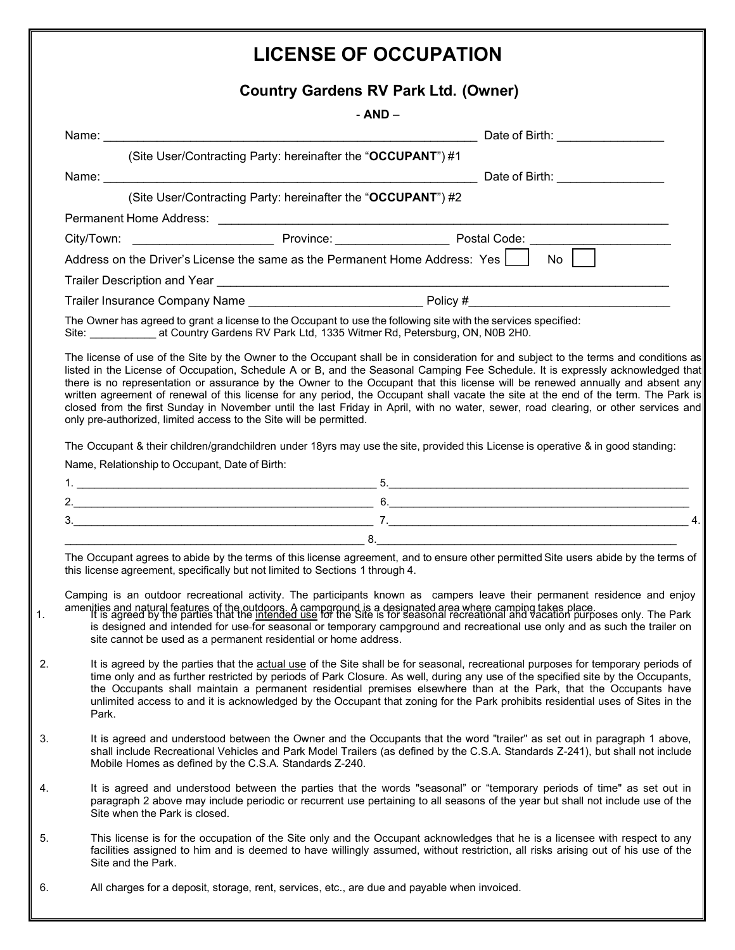## **LICENSE OF OCCUPATION**

## **Country Gardens RV Park Ltd. (Owner)**

|                                                                                                                                                                                                                                                                                                                                                                                                                                                                                                                                      | Country Gardens RV Park Ltd. (Owner)                                                                                                                                                                                                                                                                                                                                                                                                                                                                                                                                                                                                                                     |  |
|--------------------------------------------------------------------------------------------------------------------------------------------------------------------------------------------------------------------------------------------------------------------------------------------------------------------------------------------------------------------------------------------------------------------------------------------------------------------------------------------------------------------------------------|--------------------------------------------------------------------------------------------------------------------------------------------------------------------------------------------------------------------------------------------------------------------------------------------------------------------------------------------------------------------------------------------------------------------------------------------------------------------------------------------------------------------------------------------------------------------------------------------------------------------------------------------------------------------------|--|
|                                                                                                                                                                                                                                                                                                                                                                                                                                                                                                                                      | - AND –                                                                                                                                                                                                                                                                                                                                                                                                                                                                                                                                                                                                                                                                  |  |
|                                                                                                                                                                                                                                                                                                                                                                                                                                                                                                                                      |                                                                                                                                                                                                                                                                                                                                                                                                                                                                                                                                                                                                                                                                          |  |
|                                                                                                                                                                                                                                                                                                                                                                                                                                                                                                                                      | (Site User/Contracting Party: hereinafter the "OCCUPANT") #1                                                                                                                                                                                                                                                                                                                                                                                                                                                                                                                                                                                                             |  |
|                                                                                                                                                                                                                                                                                                                                                                                                                                                                                                                                      |                                                                                                                                                                                                                                                                                                                                                                                                                                                                                                                                                                                                                                                                          |  |
|                                                                                                                                                                                                                                                                                                                                                                                                                                                                                                                                      | (Site User/Contracting Party: hereinafter the "OCCUPANT") #2                                                                                                                                                                                                                                                                                                                                                                                                                                                                                                                                                                                                             |  |
|                                                                                                                                                                                                                                                                                                                                                                                                                                                                                                                                      |                                                                                                                                                                                                                                                                                                                                                                                                                                                                                                                                                                                                                                                                          |  |
|                                                                                                                                                                                                                                                                                                                                                                                                                                                                                                                                      |                                                                                                                                                                                                                                                                                                                                                                                                                                                                                                                                                                                                                                                                          |  |
|                                                                                                                                                                                                                                                                                                                                                                                                                                                                                                                                      | Address on the Driver's License the same as the Permanent Home Address: Yes $\boxed{\phantom{1}}$ No $\boxed{\phantom{1}}$                                                                                                                                                                                                                                                                                                                                                                                                                                                                                                                                               |  |
|                                                                                                                                                                                                                                                                                                                                                                                                                                                                                                                                      |                                                                                                                                                                                                                                                                                                                                                                                                                                                                                                                                                                                                                                                                          |  |
|                                                                                                                                                                                                                                                                                                                                                                                                                                                                                                                                      |                                                                                                                                                                                                                                                                                                                                                                                                                                                                                                                                                                                                                                                                          |  |
|                                                                                                                                                                                                                                                                                                                                                                                                                                                                                                                                      | The Owner has agreed to grant a license to the Occupant to use the following site with the services specified:<br>Site: ___________________at Country Gardens RV Park Ltd, 1335 Witmer Rd, Petersburg, ON, N0B 2H0.                                                                                                                                                                                                                                                                                                                                                                                                                                                      |  |
|                                                                                                                                                                                                                                                                                                                                                                                                                                                                                                                                      | there is no representation or assurance by the Owner to the Occupant that this license will be renewed annually and absent any<br>written agreement of renewal of this license for any period, the Occupant shall vacate the site at the end of the term. The Park is<br>closed from the first Sunday in November until the last Friday in April, with no water, sewer, road clearing, or other services and<br>only pre-authorized, limited access to the Site will be permitted.<br>The Occupant & their children/grandchildren under 18yrs may use the site, provided this License is operative & in good standing:<br>Name, Relationship to Occupant, Date of Birth: |  |
|                                                                                                                                                                                                                                                                                                                                                                                                                                                                                                                                      |                                                                                                                                                                                                                                                                                                                                                                                                                                                                                                                                                                                                                                                                          |  |
|                                                                                                                                                                                                                                                                                                                                                                                                                                                                                                                                      |                                                                                                                                                                                                                                                                                                                                                                                                                                                                                                                                                                                                                                                                          |  |
|                                                                                                                                                                                                                                                                                                                                                                                                                                                                                                                                      | $3.$ $7.$ $2.$ $4.$                                                                                                                                                                                                                                                                                                                                                                                                                                                                                                                                                                                                                                                      |  |
|                                                                                                                                                                                                                                                                                                                                                                                                                                                                                                                                      |                                                                                                                                                                                                                                                                                                                                                                                                                                                                                                                                                                                                                                                                          |  |
|                                                                                                                                                                                                                                                                                                                                                                                                                                                                                                                                      | The Occupant agrees to abide by the terms of this license agreement, and to ensure other permitted Site users abide by the terms of<br>this license agreement, specifically but not limited to Sections 1 through 4.                                                                                                                                                                                                                                                                                                                                                                                                                                                     |  |
|                                                                                                                                                                                                                                                                                                                                                                                                                                                                                                                                      | Camping is an outdoor recreational activity. The participants known as campers leave their permanent residence and enjoy<br>amenities and natural features of the outdoors. A camparound is a designated area where camping takes place.<br>It is agreed by the parties that the intended use for the Site is for seasonal recreational and vacation purposes<br>is designed and intended for use-for seasonal or temporary campground and recreational use only and as such the trailer on<br>site cannot be used as a permanent residential or home address.                                                                                                           |  |
| It is agreed by the parties that the actual use of the Site shall be for seasonal, recreational purposes for temporary periods of<br>time only and as further restricted by periods of Park Closure. As well, during any use of the specified site by the Occupants,<br>the Occupants shall maintain a permanent residential premises elsewhere than at the Park, that the Occupants have<br>unlimited access to and it is acknowledged by the Occupant that zoning for the Park prohibits residential uses of Sites in the<br>Park. |                                                                                                                                                                                                                                                                                                                                                                                                                                                                                                                                                                                                                                                                          |  |
|                                                                                                                                                                                                                                                                                                                                                                                                                                                                                                                                      | It is agreed and understood between the Owner and the Occupants that the word "trailer" as set out in paragraph 1 above,<br>shall include Recreational Vehicles and Park Model Trailers (as defined by the C.S.A. Standards Z-241), but shall not include<br>Mobile Homes as defined by the C.S.A. Standards Z-240.                                                                                                                                                                                                                                                                                                                                                      |  |
|                                                                                                                                                                                                                                                                                                                                                                                                                                                                                                                                      | It is agreed and understood between the parties that the words "seasonal" or "temporary periods of time" as set out in<br>paragraph 2 above may include periodic or recurrent use pertaining to all seasons of the year but shall not include use of the<br>Site when the Park is closed.                                                                                                                                                                                                                                                                                                                                                                                |  |
|                                                                                                                                                                                                                                                                                                                                                                                                                                                                                                                                      | This license is for the occupation of the Site only and the Occupant acknowledges that he is a licensee with respect to any<br>facilities assigned to him and is deemed to have willingly assumed, without restriction, all risks arising out of his use of the<br>Site and the Park.                                                                                                                                                                                                                                                                                                                                                                                    |  |
|                                                                                                                                                                                                                                                                                                                                                                                                                                                                                                                                      | All charges for a deposit, storage, rent, services, etc., are due and payable when invoiced.                                                                                                                                                                                                                                                                                                                                                                                                                                                                                                                                                                             |  |
|                                                                                                                                                                                                                                                                                                                                                                                                                                                                                                                                      |                                                                                                                                                                                                                                                                                                                                                                                                                                                                                                                                                                                                                                                                          |  |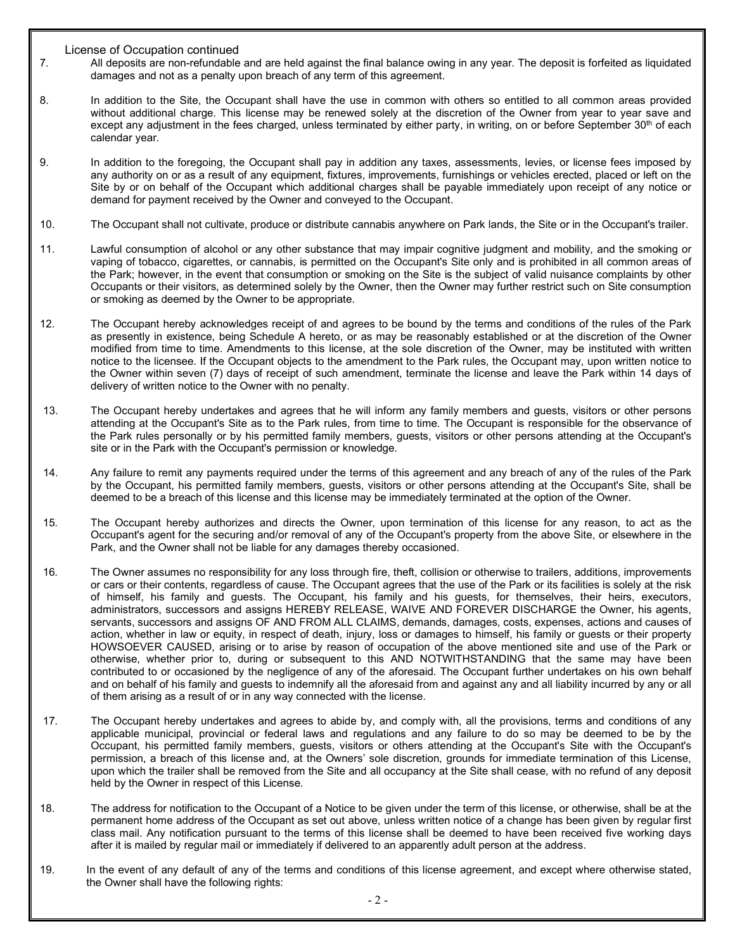License of Occupation continued

- 7*.* All deposits are non-refundable and are held against the final balance owing in any year. The deposit is forfeited as liquidated damages and not as a penalty upon breach of any term of this agreement.
- 8. In addition to the Site, the Occupant shall have the use in common with others so entitled to all common areas provided without additional charge. This license may be renewed solely at the discretion of the Owner from year to year save and except any adjustment in the fees charged, unless terminated by either party, in writing, on or before September 30<sup>th</sup> of each calendar year.
- 9. In addition to the foregoing, the Occupant shall pay in addition any taxes, assessments, levies, or license fees imposed by any authority on or as a result of any equipment, fixtures, improvements, furnishings or vehicles erected, placed or left on the Site by or on behalf of the Occupant which additional charges shall be payable immediately upon receipt of any notice or demand for payment received by the Owner and conveyed to the Occupant.
- 10. The Occupant shall not cultivate, produce or distribute cannabis anywhere on Park lands, the Site or in the Occupant's trailer.
- 11. Lawful consumption of alcohol or any other substance that may impair cognitive judgment and mobility, and the smoking or vaping of tobacco, cigarettes, or cannabis, is permitted on the Occupant's Site only and is prohibited in all common areas of the Park; however, in the event that consumption or smoking on the Site is the subject of valid nuisance complaints by other Occupants or their visitors, as determined solely by the Owner, then the Owner may further restrict such on Site consumption or smoking as deemed by the Owner to be appropriate.
- 12. The Occupant hereby acknowledges receipt of and agrees to be bound by the terms and conditions of the rules of the Park as presently in existence, being Schedule A hereto, or as may be reasonably established or at the discretion of the Owner modified from time to time. Amendments to this license, at the sole discretion of the Owner, may be instituted with written notice to the licensee. If the Occupant objects to the amendment to the Park rules, the Occupant may, upon written notice to the Owner within seven (7) days of receipt of such amendment, terminate the license and leave the Park within 14 days of delivery of written notice to the Owner with no penalty.
- 13. The Occupant hereby undertakes and agrees that he will inform any family members and guests, visitors or other persons attending at the Occupant's Site as to the Park rules, from time to time. The Occupant is responsible for the observance of the Park rules personally or by his permitted family members, guests, visitors or other persons attending at the Occupant's site or in the Park with the Occupant's permission or knowledge.
- 14. Any failure to remit any payments required under the terms of this agreement and any breach of any of the rules of the Park by the Occupant, his permitted family members, guests, visitors or other persons attending at the Occupant's Site, shall be deemed to be a breach of this license and this license may be immediately terminated at the option of the Owner.
- 15. The Occupant hereby authorizes and directs the Owner, upon termination of this license for any reason, to act as the Occupant's agent for the securing and/or removal of any of the Occupant's property from the above Site, or elsewhere in the Park, and the Owner shall not be liable for any damages thereby occasioned.
- 16. The Owner assumes no responsibility for any loss through fire, theft, collision or otherwise to trailers, additions, improvements or cars or their contents, regardless of cause. The Occupant agrees that the use of the Park or its facilities is solely at the risk of himself, his family and guests. The Occupant, his family and his guests, for themselves, their heirs, executors, administrators, successors and assigns HEREBY RELEASE, WAIVE AND FOREVER DISCHARGE the Owner, his agents, servants, successors and assigns OF AND FROM ALL CLAIMS, demands, damages, costs, expenses, actions and causes of action, whether in law or equity, in respect of death, injury, loss or damages to himself, his family or guests or their property HOWSOEVER CAUSED, arising or to arise by reason of occupation of the above mentioned site and use of the Park or otherwise, whether prior to, during or subsequent to this AND NOTWITHSTANDING that the same may have been contributed to or occasioned by the negligence of any of the aforesaid. The Occupant further undertakes on his own behalf and on behalf of his family and guests to indemnify all the aforesaid from and against any and all liability incurred by any or all of them arising as a result of or in any way connected with the license.
- 17. The Occupant hereby undertakes and agrees to abide by, and comply with, all the provisions, terms and conditions of any applicable municipal, provincial or federal laws and regulations and any failure to do so may be deemed to be by the Occupant, his permitted family members, guests, visitors or others attending at the Occupant's Site with the Occupant's permission, a breach of this license and, at the Owners' sole discretion, grounds for immediate termination of this License, upon which the trailer shall be removed from the Site and all occupancy at the Site shall cease, with no refund of any deposit held by the Owner in respect of this License.
- 18. The address for notification to the Occupant of a Notice to be given under the term of this license, or otherwise, shall be at the permanent home address of the Occupant as set out above, unless written notice of a change has been given by regular first class mail. Any notification pursuant to the terms of this license shall be deemed to have been received five working days after it is mailed by regular mail or immediately if delivered to an apparently adult person at the address.
- 19. In the event of any default of any of the terms and conditions of this license agreement, and except where otherwise stated, the Owner shall have the following rights: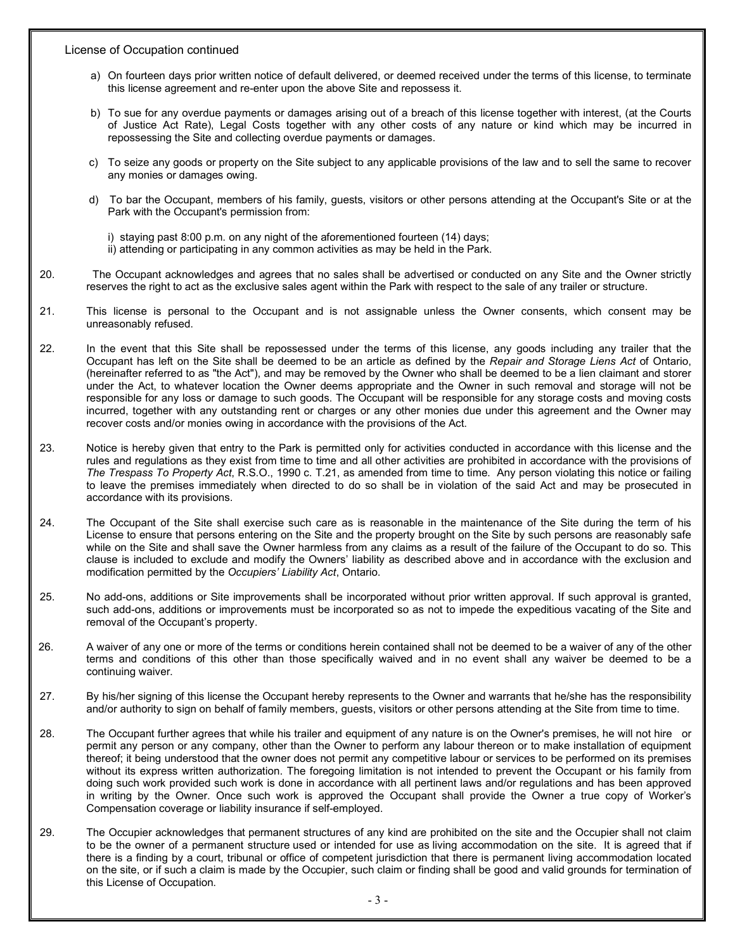License of Occupation continued

- a) On fourteen days prior written notice of default delivered, or deemed received under the terms of this license, to terminate this license agreement and re-enter upon the above Site and repossess it.
- b) To sue for any overdue payments or damages arising out of a breach of this license together with interest, (at the Courts of Justice Act Rate), Legal Costs together with any other costs of any nature or kind which may be incurred in repossessing the Site and collecting overdue payments or damages.
- c) To seize any goods or property on the Site subject to any applicable provisions of the law and to sell the same to recover any monies or damages owing.
- d) To bar the Occupant, members of his family, guests, visitors or other persons attending at the Occupant's Site or at the Park with the Occupant's permission from:
	- i) staying past 8:00 p.m. on any night of the aforementioned fourteen (14) days;
	- ii) attending or participating in any common activities as may be held in the Park.
- 20. The Occupant acknowledges and agrees that no sales shall be advertised or conducted on any Site and the Owner strictly reserves the right to act as the exclusive sales agent within the Park with respect to the sale of any trailer or structure.
- 21. This license is personal to the Occupant and is not assignable unless the Owner consents, which consent may be unreasonably refused.
- 22. In the event that this Site shall be repossessed under the terms of this license, any goods including any trailer that the Occupant has left on the Site shall be deemed to be an article as defined by the *Repair and Storage Liens Act* of Ontario, (hereinafter referred to as "the Act"), and may be removed by the Owner who shall be deemed to be a lien claimant and storer under the Act, to whatever location the Owner deems appropriate and the Owner in such removal and storage will not be responsible for any loss or damage to such goods. The Occupant will be responsible for any storage costs and moving costs incurred, together with any outstanding rent or charges or any other monies due under this agreement and the Owner may recover costs and/or monies owing in accordance with the provisions of the Act.
- 23. Notice is hereby given that entry to the Park is permitted only for activities conducted in accordance with this license and the rules and regulations as they exist from time to time and all other activities are prohibited in accordance with the provisions of *The Trespass To Property Act*, R.S.O., 1990 c. T.21, as amended from time to time. Any person violating this notice or failing to leave the premises immediately when directed to do so shall be in violation of the said Act and may be prosecuted in accordance with its provisions.
- 24. The Occupant of the Site shall exercise such care as is reasonable in the maintenance of the Site during the term of his License to ensure that persons entering on the Site and the property brought on the Site by such persons are reasonably safe while on the Site and shall save the Owner harmless from any claims as a result of the failure of the Occupant to do so. This clause is included to exclude and modify the Owners' liability as described above and in accordance with the exclusion and modification permitted by the *Occupiers' Liability Act*, Ontario.
- 25. No add-ons, additions or Site improvements shall be incorporated without prior written approval. If such approval is granted, such add-ons, additions or improvements must be incorporated so as not to impede the expeditious vacating of the Site and removal of the Occupant's property.
- 26. A waiver of any one or more of the terms or conditions herein contained shall not be deemed to be a waiver of any of the other terms and conditions of this other than those specifically waived and in no event shall any waiver be deemed to be a continuing waiver.
- 27. By his/her signing of this license the Occupant hereby represents to the Owner and warrants that he/she has the responsibility and/or authority to sign on behalf of family members, guests, visitors or other persons attending at the Site from time to time.
- 28. The Occupant further agrees that while his trailer and equipment of any nature is on the Owner's premises, he will not hire or permit any person or any company, other than the Owner to perform any labour thereon or to make installation of equipment thereof; it being understood that the owner does not permit any competitive labour or services to be performed on its premises without its express written authorization. The foregoing limitation is not intended to prevent the Occupant or his family from doing such work provided such work is done in accordance with all pertinent laws and/or regulations and has been approved in writing by the Owner. Once such work is approved the Occupant shall provide the Owner a true copy of Worker's Compensation coverage or liability insurance if self-employed.
- 29. The Occupier acknowledges that permanent structures of any kind are prohibited on the site and the Occupier shall not claim to be the owner of a permanent structure used or intended for use as living accommodation on the site. It is agreed that if there is a finding by a court, tribunal or office of competent jurisdiction that there is permanent living accommodation located on the site, or if such a claim is made by the Occupier, such claim or finding shall be good and valid grounds for termination of this License of Occupation.